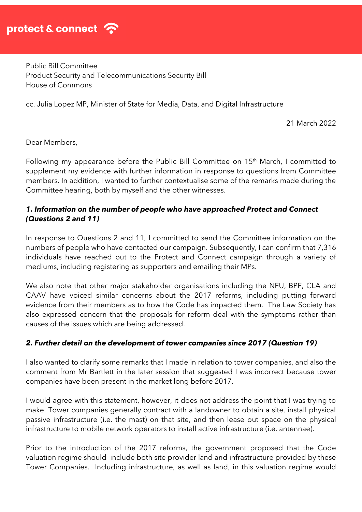

Public Bill Committee Product Security and Telecommunications Security Bill House of Commons

cc. Julia Lopez MP, Minister of State for Media, Data, and Digital Infrastructure

21 March 2022

Dear Members,

Following my appearance before the Public Bill Committee on 15<sup>th</sup> March, I committed to supplement my evidence with further information in response to questions from Committee members. In addition, I wanted to further contextualise some of the remarks made during the Committee hearing, both by myself and the other witnesses.

#### *1. Information on the number of people who have approached Protect and Connect (Questions 2 and 11)*

In response to Questions 2 and 11, I committed to send the Committee information on the numbers of people who have contacted our campaign. Subsequently, I can confirm that 7,316 individuals have reached out to the Protect and Connect campaign through a variety of mediums, including registering as supporters and emailing their MPs.

We also note that other major stakeholder organisations including the NFU, BPF, CLA and CAAV have voiced similar concerns about the 2017 reforms, including putting forward evidence from their members as to how the Code has impacted them. The Law Society has also expressed concern that the proposals for reform deal with the symptoms rather than causes of the issues which are being addressed.

#### *2. Further detail on the development of tower companies since 2017 (Question 19)*

I also wanted to clarify some remarks that I made in relation to tower companies, and also the comment from Mr Bartlett in the later session that suggested I was incorrect because tower companies have been present in the market long before 2017.

I would agree with this statement, however, it does not address the point that I was trying to make. Tower companies generally contract with a landowner to obtain a site, install physical passive infrastructure (i.e. the mast) on that site, and then lease out space on the physical infrastructure to mobile network operators to install active infrastructure (i.e. antennae).

Prior to the introduction of the 2017 reforms, the government proposed that the Code valuation regime should include both site provider land and infrastructure provided by these Tower Companies. Including infrastructure, as well as land, in this valuation regime would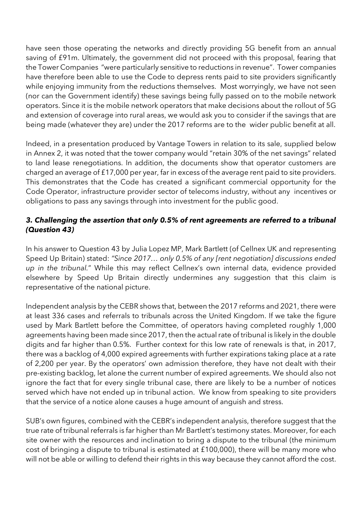have seen those operating the networks and directly providing 5G benefit from an annual saving of £91m. Ultimately, the government did not proceed with this proposal, fearing that the Tower Companies "were particularly sensitive to reductions in revenue". Tower companies have therefore been able to use the Code to depress rents paid to site providers significantly while enjoying immunity from the reductions themselves. Most worryingly, we have not seen (nor can the Government identify) these savings being fully passed on to the mobile network operators. Since it is the mobile network operators that make decisions about the rollout of 5G and extension of coverage into rural areas, we would ask you to consider if the savings that are being made (whatever they are) under the 2017 reforms are to the wider public benefit at all.

Indeed, in a presentation produced by Vantage Towers in relation to its sale, supplied below in Annex 2, it was noted that the tower company would "retain 30% of the net savings" related to land lease renegotiations. In addition, the documents show that operator customers are charged an average of £17,000 per year, far in excess of the average rent paid to site providers. This demonstrates that the Code has created a significant commercial opportunity for the Code Operator, infrastructure provider sector of telecoms industry, without any incentives or obligations to pass any savings through into investment for the public good.

# *3. Challenging the assertion that only 0.5% of rent agreements are referred to a tribunal (Question 43)*

In his answer to Question 43 by Julia Lopez MP, Mark Bartlett (of Cellnex UK and representing Speed Up Britain) stated: *"Since 2017… only 0.5% of any [rent negotiation] discussions ended up in the tribunal.*" While this may reflect Cellnex's own internal data, evidence provided elsewhere by Speed Up Britain directly undermines any suggestion that this claim is representative of the national picture.

Independent analysis by the CEBR shows that, between the 2017 reforms and 2021, there were at least 336 cases and referrals to tribunals across the United Kingdom. If we take the figure used by Mark Bartlett before the Committee, of operators having completed roughly 1,000 agreements having been made since 2017, then the actual rate of tribunal is likely in the double digits and far higher than 0.5%. Further context for this low rate of renewals is that, in 2017, there was a backlog of 4,000 expired agreements with further expirations taking place at a rate of 2,200 per year. By the operators' own admission therefore, they have not dealt with their pre-existing backlog, let alone the current number of expired agreements. We should also not ignore the fact that for every single tribunal case, there are likely to be a number of notices served which have not ended up in tribunal action. We know from speaking to site providers that the service of a notice alone causes a huge amount of anguish and stress.

SUB's own figures, combined with the CEBR's independent analysis, therefore suggest that the true rate of tribunal referrals is far higher than Mr Bartlett's testimony states. Moreover, for each site owner with the resources and inclination to bring a dispute to the tribunal (the minimum cost of bringing a dispute to tribunal is estimated at £100,000), there will be many more who will not be able or willing to defend their rights in this way because they cannot afford the cost.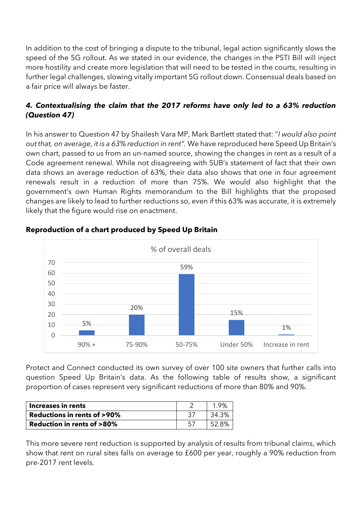In addition to the cost of bringing a dispute to the tribunal, legal action significantly slows the speed of the 5G rollout. As we stated in our evidence, the changes in the PSTI Bill will inject more hostility and create more legislation that will need to be tested in the courts, resulting in further legal challenges, slowing vitally important 5G rollout down. Consensual deals based on a fair price will always be faster.

# *4. Contextualising the claim that the 2017 reforms have only led to a 63% reduction (Question 47)*

In his answer to Question 47 by Shailesh Vara MP, Mark Bartlett stated that: "*I would also point out that, on average, it is a 63% reduction in rent".* We have reproduced here Speed Up Britain's own chart, passed to us from an un-named source, showing the changes in rent as a result of a Code agreement renewal. While not disagreeing with SUB's statement of fact that their own data shows an average reduction of 63%, their data also shows that one in four agreement renewals result in a reduction of more than 75%. We would also highlight that the government's own Human Rights memorandum to the Bill highlights that the proposed changes are likely to lead to further reductions so, even if this 63% was accurate, it is extremely likely that the figure would rise on enactment.



### **Reproduction of a chart produced by Speed Up Britain**

Protect and Connect conducted its own survey of over 100 site owners that further calls into question Speed Up Britain's data. As the following table of results show, a significant proportion of cases represent very significant reductions of more than 80% and 90%.

| Increases in rents                    |  |
|---------------------------------------|--|
| <b>Reductions in rents of &gt;90%</b> |  |
| <b>Reduction in rents of &gt;80%</b>  |  |

This more severe rent reduction is supported by analysis of results from tribunal claims, which show that rent on rural sites falls on average to £600 per year, roughly a 90% reduction from pre-2017 rent levels.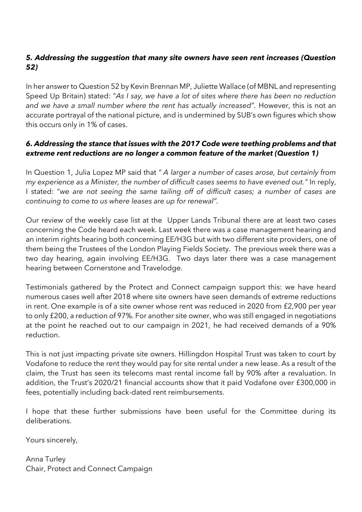# *5. Addressing the suggestion that many site owners have seen rent increases (Question 52)*

In her answer to Question 52 by Kevin Brennan MP, Juliette Wallace (of MBNL and representing Speed Up Britain) stated: "*As I say, we have a lot of sites where there has been no reduction*  and we have a small number where the rent has actually increased". However, this is not an accurate portrayal of the national picture, and is undermined by SUB's own figures which show this occurs only in 1% of cases.

## *6. Addressing the stance that issues with the 2017 Code were teething problems and that extreme rent reductions are no longer a common feature of the market (Question 1)*

In Question 1, Julia Lopez MP said that *" A larger a number of cases arose, but certainly from my experience as a Minister, the number of difficult cases seems to have evened out."* In reply, I stated: "*we are not seeing the same tailing off of difficult cases; a number of cases are continuing to come to us where leases are up for renewal".*

Our review of the weekly case list at the Upper Lands Tribunal there are at least two cases concerning the Code heard each week. Last week there was a case management hearing and an interim rights hearing both concerning EE/H3G but with two different site providers, one of them being the Trustees of the London Playing Fields Society. The previous week there was a two day hearing, again involving EE/H3G. Two days later there was a case management hearing between Cornerstone and Travelodge.

Testimonials gathered by the Protect and Connect campaign support this: we have heard numerous cases well after 2018 where site owners have seen demands of extreme reductions in rent. One example is of a site owner whose rent was reduced in 2020 from £2,900 per year to only £200, a reduction of 97%. For another site owner, who was still engaged in negotiations at the point he reached out to our campaign in 2021, he had received demands of a 90% reduction.

This is not just impacting private site owners. Hillingdon Hospital Trust was taken to court by Vodafone to reduce the rent they would pay for site rental under a new lease. As a result of the claim, the Trust has seen its telecoms mast rental income fall by 90% after a revaluation. In addition, the Trust's 2020/21 financial accounts show that it paid Vodafone over £300,000 in fees, potentially including back-dated rent reimbursements.

I hope that these further submissions have been useful for the Committee during its deliberations.

Yours sincerely,

Anna Turley Chair, Protect and Connect Campaign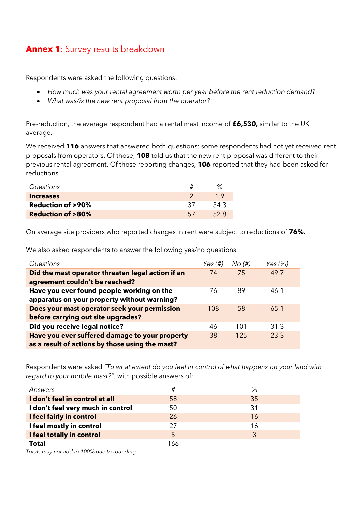# **Annex 1**: Survey results breakdown

Respondents were asked the following questions:

- *How much was your rental agreement worth per year before the rent reduction demand?*
- *What was/is the new rent proposal from the operator?*

Pre-reduction, the average respondent had a rental mast income of **£6,530,** similar to the UK average.

We received **116** answers that answered both questions: some respondents had not yet received rent proposals from operators. Of those, **108** told us that the new rent proposal was different to their previous rental agreement. Of those reporting changes, **106** reported that they had been asked for reductions.

| Questions                   |      |
|-----------------------------|------|
| <b>Increases</b>            | 1 Q  |
| <b>Reduction of &gt;90%</b> | 34.3 |
| <b>Reduction of &gt;80%</b> |      |

On average site providers who reported changes in rent were subject to reductions of **76%**.

We also asked respondents to answer the following yes/no questions:

| Questions                                         | Yes $(\#)$ | No(H) | Yes (%) |
|---------------------------------------------------|------------|-------|---------|
| Did the mast operator threaten legal action if an | 74         | 75    | 49.7    |
| agreement couldn't be reached?                    |            |       |         |
| Have you ever found people working on the         | 76         | 89    | 46.1    |
| apparatus on your property without warning?       |            |       |         |
| Does your mast operator seek your permission      | 108        | 58    | 65.1    |
| before carrying out site upgrades?                |            |       |         |
| Did you receive legal notice?                     | 46         | 101   | 31.3    |
| Have you ever suffered damage to your property    | 38         | 125   | 23.3    |
| as a result of actions by those using the mast?   |            |       |         |

Respondents were asked *"To what extent do you feel in control of what happens on your land with regard to your mobile mast?",* with possible answers of:

| Answers                           | #   | %  |
|-----------------------------------|-----|----|
| I don't feel in control at all    | 58  | 35 |
| I don't feel very much in control | 50  | 31 |
| I feel fairly in control          | 26  | 16 |
| I feel mostly in control          | 27  | 16 |
| I feel totally in control         | 5   | 3  |
| <b>Total</b>                      | 166 |    |

*Totals may not add to 100% due to rounding*